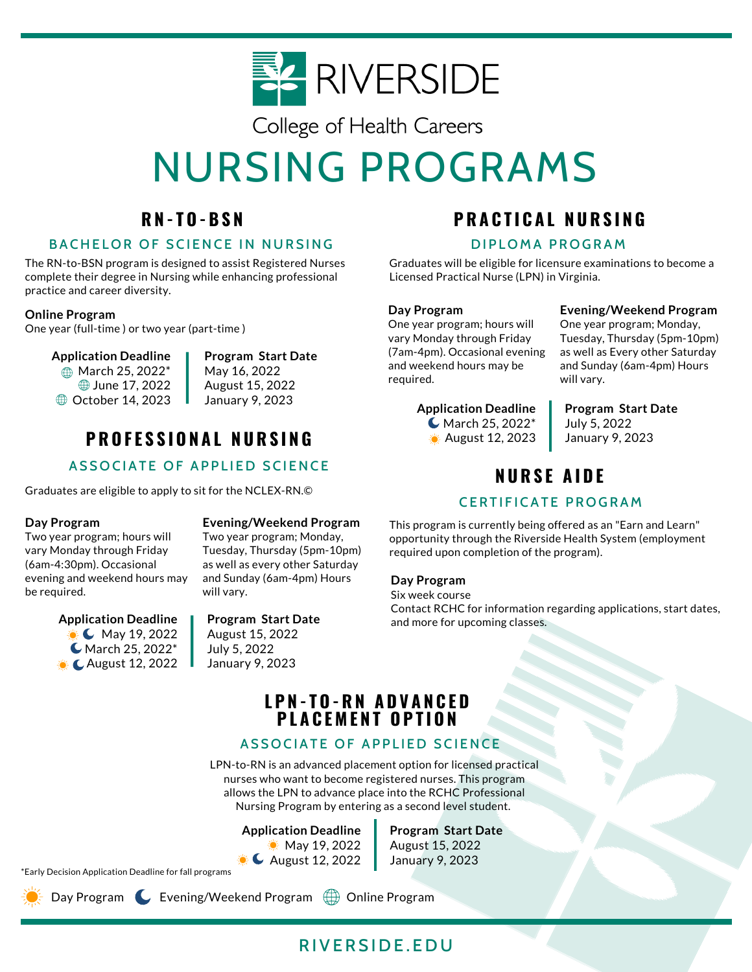

College of Health Careers

# NURSING PROGRAMS

# **R N - T O - B S N**

## BACHELOR OF SCIENCE IN NURSING

The RN-to-BSN program is designed to assist Registered Nurses complete their degree in Nursing while enhancing professional practice and career diversity.

### **Online Program**

One year (full-time ) or two year (part-time )

**Application Deadline** March 25, 2022\* June 17, 2022 October 14, 2023 **Program Start Date** May 16, 2022 August 15, 2022 January 9, 2023

# **P R O F E S S I O N A L N U R S I N G**

## ASSOCIATE OF APPLIED SCIENCE

Graduates are eligible to apply to sit for the NCLEX-RN.©

#### **Day Program**

Two year program; hours will vary Monday through Friday (6am-4:30pm). Occasional evening and weekend hours may be required.

## **Application Deadline**

 $\bullet$  May 19, 2022  $C$  March 25, 2022 $*$  $\bullet$  C August 12, 2022

## **Evening/Weekend Program**

Two year program; Monday, Tuesday, Thursday (5pm-10pm) as well as every other Saturday and Sunday (6am-4pm) Hours will vary.

#### **Program Start Date** August 15, 2022 July 5, 2022

January 9, 2023

# **P R A C T I C A L N U R S I N G**

## D I P L O M A P R O GRAM

Graduates will be eligible for licensure examinations to become a Licensed Practical Nurse (LPN) in Virginia.

### **Day Program**

One year program; hours will vary Monday through Friday (7am-4pm). Occasional evening and weekend hours may be required.

**Application Deadline**

 $CMarch 25, 2022*$ **August 12, 2023** 

### **Evening/Weekend Program**

One year program; Monday, Tuesday, Thursday (5pm-10pm) as well as Every other Saturday and Sunday (6am-4pm) Hours will vary.

**Program Start Date** July 5, 2022 January 9, 2023

# **N U R S E A I D E**

## CERTIFICATE PROGRAM

This program is currently being offered as an "Earn and Learn" opportunity through the Riverside Health System (employment required upon completion of the program).

### **Day Program**

Six week course Contact RCHC for information regarding applications, start dates, and more for upcoming classes.

# **L P N - T O - R N A D V A N C E D P L A C E M E N T O P T I O N**

## ASSOCIATE OF APPLIED SCIENCE

LPN-to-RN is an advanced placement option for licensed practical nurses who want to become registered nurses. This program allows the LPN to advance place into the RCHC Professional Nursing Program by entering as a second level student.

> **Application Deadline May 19, 2022**  $\bullet$  August 12, 2022

**Program Start Date** August 15, 2022 January 9, 2023

\*Early Decision Application Deadline for fall programs



Day Program (C Evening/Weekend Program ( $\bigoplus$  Online Program

# R I V E R S I D E . E D U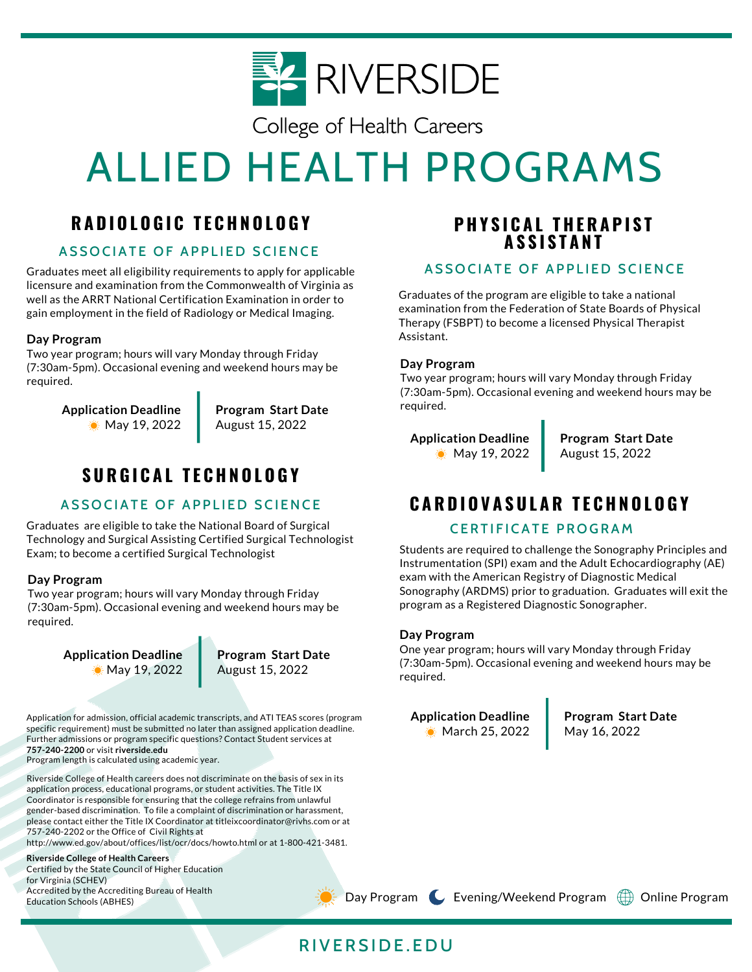

College of Health Careers

# ALLIED HEALTH PROGRAMS

# **R A D I O L O G I C T E C H N O L O G Y**

## ASSOCIATE OF APPLIED SCIENCE

Graduates meet all eligibility requirements to apply for applicable licensure and examination from the Commonwealth of Virginia as well as the ARRT National Certification Examination in order to gain employment in the field of Radiology or Medical Imaging.

### **Day Program**

Two year program; hours will vary Monday through Friday (7:30am-5pm). Occasional evening and weekend hours may be required.

> **Application Deadline May 19, 2022**

**Program Start Date** August 15, 2022

# **S U R G I C A L T E C H N O L O G Y**

# ASSOCIATE OF APPLIED SCIENCE

Graduates are eligible to take the National Board of Surgical Technology and Surgical Assisting Certified Surgical Technologist Exam; to become a certified Surgical Technologist

### **Day Program**

Two year program; hours will vary Monday through Friday (7:30am-5pm). Occasional evening and weekend hours may be required.

> **Application Deadline May 19, 2022**

**Program Start Date** August 15, 2022

Application for admission, official academic transcripts, and ATI TEAS scores (program specific requirement) must be submitted no later than assigned application deadline. Further admissions or program specific questions? Contact Student services at **757-240-2200** or visit **riverside.edu**

Program length is calculated using academic year.

Riverside College of Health careers does not discriminate on the basis of sex in its application process, educational programs, or student activities. The Title IX Coordinator is responsible for ensuring that the college refrains from unlawful gender-based discrimination. To file a complaint of discrimination or harassment, please contact either the Title IX Coordinator at titleixcoordinator@rivhs.com or at 757-240-2202 or the Office of Civil Rights at

http://www.ed.gov/about/offices/list/ocr/docs/howto.html or at 1-800-421-3481.

**Riverside College of Health Careers** Certified by the State Council of Higher Education for Virginia (SCHEV) Accredited by the Accrediting Bureau of Health Education Schools (ABHES)

# **P H Y S I C A L T H E R A P I S T A S S I S T A N T**

## ASSOCIATE OF APPLIED SCIENCE

Graduates of the program are eligible to take a national examination from the Federation of State Boards of Physical Therapy (FSBPT) to become a licensed Physical Therapist Assistant.

#### **Day Program**

Two year program; hours will vary Monday through Friday (7:30am-5pm). Occasional evening and weekend hours may be required.

### **Application Deadline**

**May 19, 2022** 

**Program Start Date** August 15, 2022

# **C A R D I O V A S U L A R T E C H N O L O G Y**

### CERTIFICATE PROGRAM

Students are required to challenge the Sonography Principles and Instrumentation (SPI) exam and the Adult Echocardiography (AE) exam with the American Registry of Diagnostic Medical Sonography (ARDMS) prior to graduation. Graduates will exit the program as a Registered Diagnostic Sonographer.

### **Day Program**

One year program; hours will vary Monday through Friday (7:30am-5pm). Occasional evening and weekend hours may be required.

**Application Deadline March 25, 2022** 

**Program Start Date** May 16, 2022



Day Program C Evening/Weekend Program **E** Online Program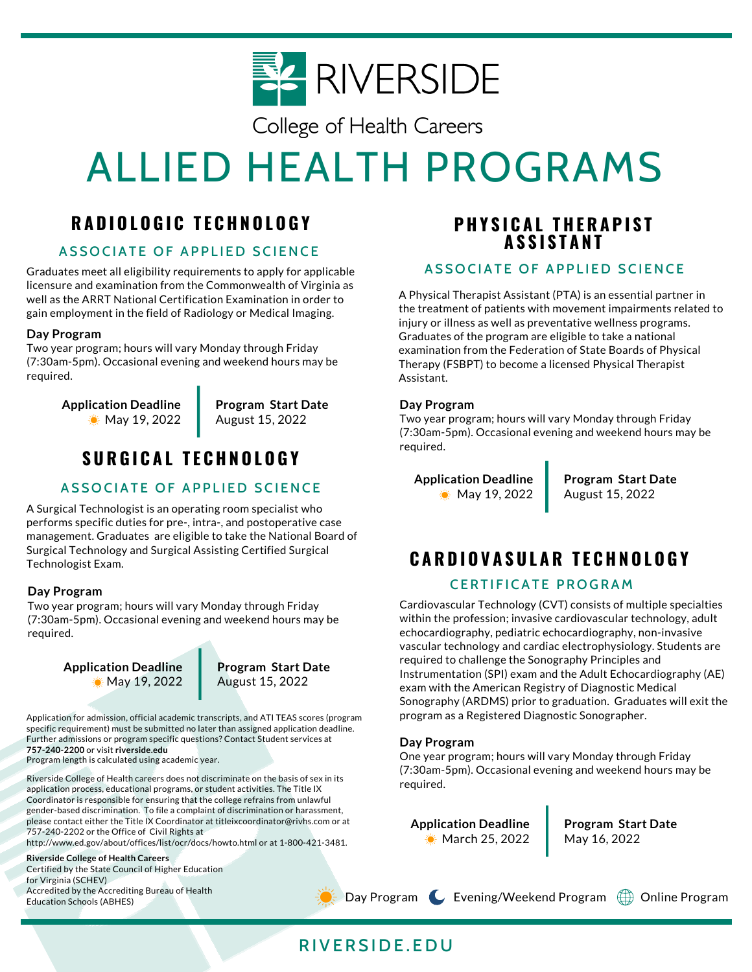

College of Health Careers

# ALLIED HEALTH PROGRAMS

# **R A D I O L O G I C T E C H N O L O G Y**

## ASSOCIATE OF APPLIED SCIENCE

Graduates meet all eligibility requirements to apply for applicable licensure and examination from the Commonwealth of Virginia as well as the ARRT National Certification Examination in order to gain employment in the field of Radiology or Medical Imaging.

#### **Day Program**

Two year program; hours will vary Monday through Friday (7:30am-5pm). Occasional evening and weekend hours may be required.

> **Application Deadline May 19, 2022**

**Program Start Date** August 15, 2022

# **S U R G I C A L T E C H N O L O G Y**

# ASSOCIATE OF APPLIED SCIENCE

A Surgical Technologist is an operating room specialist who performs specific duties for pre-, intra-, and postoperative case management. Graduates are eligible to take the National Board of Surgical Technology and Surgical Assisting Certified Surgical Technologist Exam.

### **Day Program**

Two year program; hours will vary Monday through Friday (7:30am-5pm). Occasional evening and weekend hours may be required.

> **Application Deadline May 19, 2022**

**Program Start Date** August 15, 2022

Application for admission, official academic transcripts, and ATI TEAS scores (program specific requirement) must be submitted no later than assigned application deadline. Further admissions or program specific questions? Contact Student services at **757-240-2200** or visit **riverside.edu**

Program length is calculated using academic year.

Riverside College of Health careers does not discriminate on the basis of sex in its application process, educational programs, or student activities. The Title IX Coordinator is responsible for ensuring that the college refrains from unlawful gender-based discrimination. To file a complaint of discrimination or harassment, please contact either the Title IX Coordinator at titleixcoordinator@rivhs.com or at 757-240-2202 or the Office of Civil Rights at

http://www.ed.gov/about/offices/list/ocr/docs/howto.html or at 1-800-421-3481.

**Riverside College of Health Careers** Certified by the State Council of Higher Education for Virginia (SCHEV) Accredited by the Accrediting Bureau of Health Education Schools (ABHES)

# **P H Y S I C A L T H E R A P I S T A S S I S T A N T**

## ASSOCIATE OF APPLIED SCIENCE

A Physical Therapist Assistant (PTA) is an essential partner in the treatment of patients with movement impairments related to injury or illness as well as preventative wellness programs. Graduates of the program are eligible to take a national examination from the Federation of State Boards of Physical Therapy (FSBPT) to become a licensed Physical Therapist Assistant.

### **Day Program**

Two year program; hours will vary Monday through Friday (7:30am-5pm). Occasional evening and weekend hours may be required.

**Application Deadline May 19, 2022** 

**Program Start Date** August 15, 2022

# **C A R D I O V A S U L A R T E C H N O L O G Y**

# **CERTIFICATE PROGRAM**

Cardiovascular Technology (CVT) consists of multiple specialties within the profession; invasive cardiovascular technology, adult echocardiography, pediatric echocardiography, non-invasive vascular technology and cardiac electrophysiology. Students are required to challenge the Sonography Principles and Instrumentation (SPI) exam and the Adult Echocardiography (AE) exam with the American Registry of Diagnostic Medical Sonography (ARDMS) prior to graduation. Graduates will exit the program as a Registered Diagnostic Sonographer.

### **Day Program**

One year program; hours will vary Monday through Friday (7:30am-5pm). Occasional evening and weekend hours may be required.

Day Program C Evening/Weekend Program **E** Online Program

**Application Deadline March 25, 2022** 

**Program Start Date** May 16, 2022

R I V E R S I D E . E D U